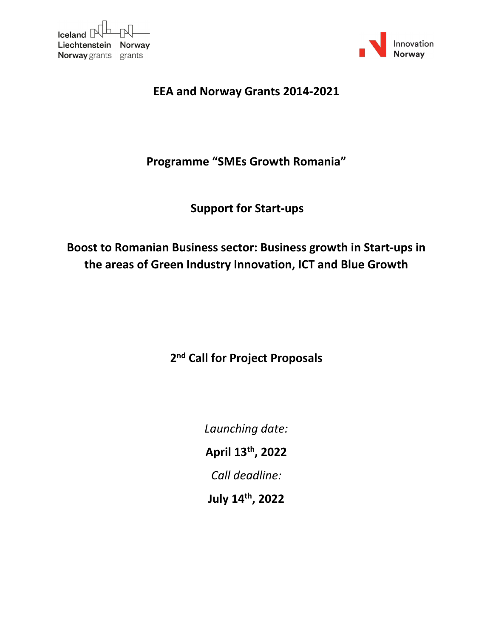



# **EEA and Norway Grants 2014‐2021**

# **Programme "SMEs Growth Romania"**

# **Support for Start‐ups**

# **Boost to Romanian Business sector: Business growth in Start‐ups in the areas of Green Industry Innovation, ICT and Blue Growth**

# **2nd Call for Project Proposals**

*Launching date:*

**April 13th , 2022**

*Call deadline:*

**July 14th , 2022**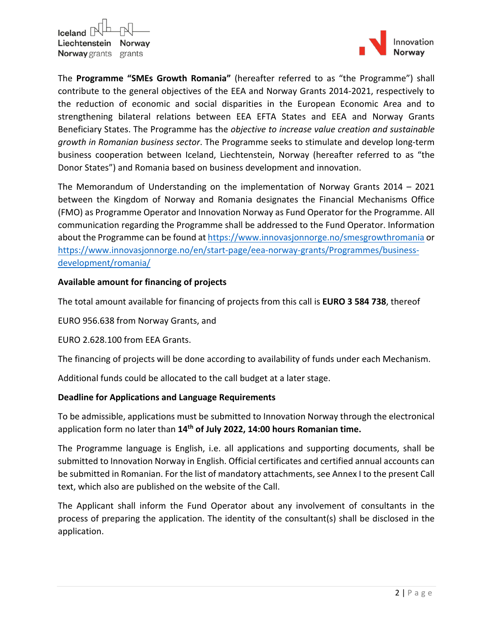



The **Programme "SMEs Growth Romania"** (hereafter referred to as "the Programme") shall contribute to the general objectives of the EEA and Norway Grants 2014‐2021, respectively to the reduction of economic and social disparities in the European Economic Area and to strengthening bilateral relations between EEA EFTA States and EEA and Norway Grants Beneficiary States. The Programme has the *objective to increase value creation and sustainable growth in Romanian business sector*. The Programme seeks to stimulate and develop long‐term business cooperation between Iceland, Liechtenstein, Norway (hereafter referred to as "the Donor States") and Romania based on business development and innovation.

The Memorandum of Understanding on the implementation of Norway Grants 2014 – 2021 between the Kingdom of Norway and Romania designates the Financial Mechanisms Office (FMO) as Programme Operator and Innovation Norway as Fund Operator for the Programme. All communication regarding the Programme shall be addressed to the Fund Operator. Information about the Programme can be found at https://www.innovasjonnorge.no/smesgrowthromania or https://www.innovasjonnorge.no/en/start‐page/eea‐norway‐grants/Programmes/business‐ development/romania/

#### **Available amount for financing of projects**

The total amount available for financing of projects from this call is **EURO 3 584 738**, thereof

EURO 956.638 from Norway Grants, and

EURO 2.628.100 from EEA Grants.

The financing of projects will be done according to availability of funds under each Mechanism.

Additional funds could be allocated to the call budget at a later stage.

#### **Deadline for Applications and Language Requirements**

To be admissible, applications must be submitted to Innovation Norway through the electronical application form no later than **14th of July 2022, 14:00 hours Romanian time.**

The Programme language is English, i.e. all applications and supporting documents, shall be submitted to Innovation Norway in English. Official certificates and certified annual accounts can be submitted in Romanian. For the list of mandatory attachments, see Annex I to the present Call text, which also are published on the website of the Call.

The Applicant shall inform the Fund Operator about any involvement of consultants in the process of preparing the application. The identity of the consultant(s) shall be disclosed in the application.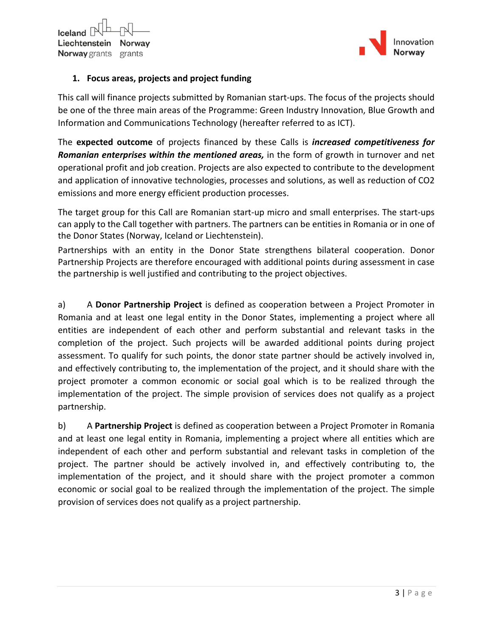



#### **1. Focus areas, projects and project funding**

This call will finance projects submitted by Romanian start‐ups. The focus of the projects should be one of the three main areas of the Programme: Green Industry Innovation, Blue Growth and Information and Communications Technology (hereafter referred to as ICT).

The **expected outcome** of projects financed by these Calls is *increased competitiveness for Romanian enterprises within the mentioned areas,* in the form of growth in turnover and net operational profit and job creation. Projects are also expected to contribute to the development and application of innovative technologies, processes and solutions, as well as reduction of CO2 emissions and more energy efficient production processes.

The target group for this Call are Romanian start‐up micro and small enterprises. The start‐ups can apply to the Call together with partners. The partners can be entities in Romania or in one of the Donor States (Norway, Iceland or Liechtenstein).

Partnerships with an entity in the Donor State strengthens bilateral cooperation. Donor Partnership Projects are therefore encouraged with additional points during assessment in case the partnership is well justified and contributing to the project objectives.

a) A **Donor Partnership Project** is defined as cooperation between a Project Promoter in Romania and at least one legal entity in the Donor States, implementing a project where all entities are independent of each other and perform substantial and relevant tasks in the completion of the project. Such projects will be awarded additional points during project assessment. To qualify for such points, the donor state partner should be actively involved in, and effectively contributing to, the implementation of the project, and it should share with the project promoter a common economic or social goal which is to be realized through the implementation of the project. The simple provision of services does not qualify as a project partnership.

b) A **Partnership Project** is defined as cooperation between a Project Promoter in Romania and at least one legal entity in Romania, implementing a project where all entities which are independent of each other and perform substantial and relevant tasks in completion of the project. The partner should be actively involved in, and effectively contributing to, the implementation of the project, and it should share with the project promoter a common economic or social goal to be realized through the implementation of the project. The simple provision of services does not qualify as a project partnership.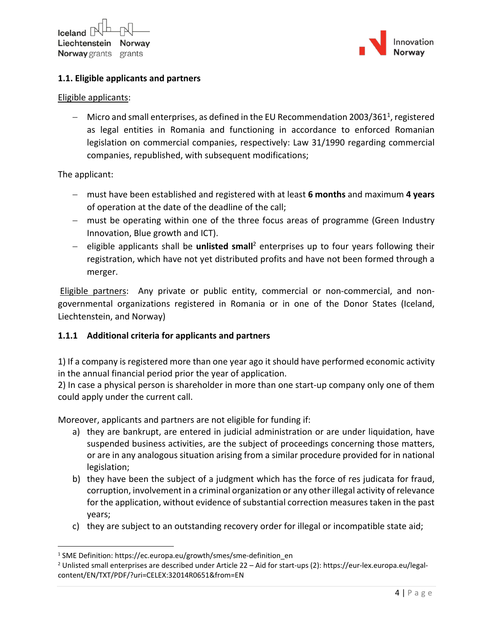

#### **1.1. Eligible applicants and partners**

#### Eligible applicants:

 $-$  Micro and small enterprises, as defined in the EU Recommendation 2003/361<sup>1</sup>, registered as legal entities in Romania and functioning in accordance to enforced Romanian legislation on commercial companies, respectively: Law 31/1990 regarding commercial companies, republished, with subsequent modifications;

The applicant:

- must have been established and registered with at least **6 months** and maximum **4 years** of operation at the date of the deadline of the call;
- must be operating within one of the three focus areas of programme (Green Industry Innovation, Blue growth and ICT).
- eligible applicants shall be **unlisted small**<sup>2</sup> enterprises up to four years following their registration, which have not yet distributed profits and have not been formed through a merger.

Eligible partners: Any private or public entity, commercial or non-commercial, and nongovernmental organizations registered in Romania or in one of the Donor States (Iceland, Liechtenstein, and Norway)

#### **1.1.1 Additional criteria for applicants and partners**

1) If a company is registered more than one year ago it should have performed economic activity in the annual financial period prior the year of application.

2) In case a physical person is shareholder in more than one start-up company only one of them could apply under the current call.

Moreover, applicants and partners are not eligible for funding if:

- a) they are bankrupt, are entered in judicial administration or are under liquidation, have suspended business activities, are the subject of proceedings concerning those matters, or are in any analogous situation arising from a similar procedure provided for in national legislation;
- b) they have been the subject of a judgment which has the force of res judicata for fraud, corruption, involvement in a criminal organization or any other illegal activity of relevance for the application, without evidence of substantial correction measures taken in the past years;
- c) they are subject to an outstanding recovery order for illegal or incompatible state aid;

<sup>&</sup>lt;sup>1</sup> SME Definition: https://ec.europa.eu/growth/smes/sme-definition\_en

<sup>2</sup> Unlisted small enterprises are described under Article 22 – Aid for start‐ups (2): https://eur‐lex.europa.eu/legal‐ content/EN/TXT/PDF/?uri=CELEX:32014R0651&from=EN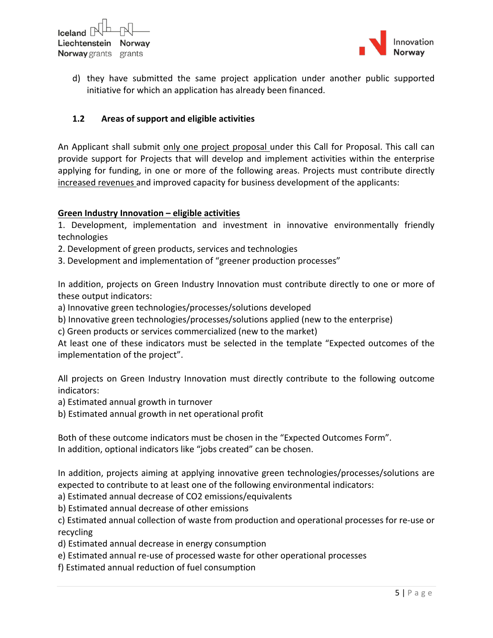



d) they have submitted the same project application under another public supported initiative for which an application has already been financed.

#### **1.2 Areas of support and eligible activities**

An Applicant shall submit only one project proposal under this Call for Proposal. This call can provide support for Projects that will develop and implement activities within the enterprise applying for funding, in one or more of the following areas. Projects must contribute directly increased revenues and improved capacity for business development of the applicants:

#### **Green Industry Innovation – eligible activities**

1. Development, implementation and investment in innovative environmentally friendly technologies

2. Development of green products, services and technologies

3. Development and implementation of "greener production processes"

In addition, projects on Green Industry Innovation must contribute directly to one or more of these output indicators:

- a) Innovative green technologies/processes/solutions developed
- b) Innovative green technologies/processes/solutions applied (new to the enterprise)
- c) Green products or services commercialized (new to the market)

At least one of these indicators must be selected in the template "Expected outcomes of the implementation of the project".

All projects on Green Industry Innovation must directly contribute to the following outcome indicators:

- a) Estimated annual growth in turnover
- b) Estimated annual growth in net operational profit

Both of these outcome indicators must be chosen in the "Expected Outcomes Form". In addition, optional indicators like "jobs created" can be chosen.

In addition, projects aiming at applying innovative green technologies/processes/solutions are expected to contribute to at least one of the following environmental indicators:

- a) Estimated annual decrease of CO2 emissions/equivalents
- b) Estimated annual decrease of other emissions

c) Estimated annual collection of waste from production and operational processes for re‐use or recycling

- d) Estimated annual decrease in energy consumption
- e) Estimated annual re‐use of processed waste for other operational processes
- f) Estimated annual reduction of fuel consumption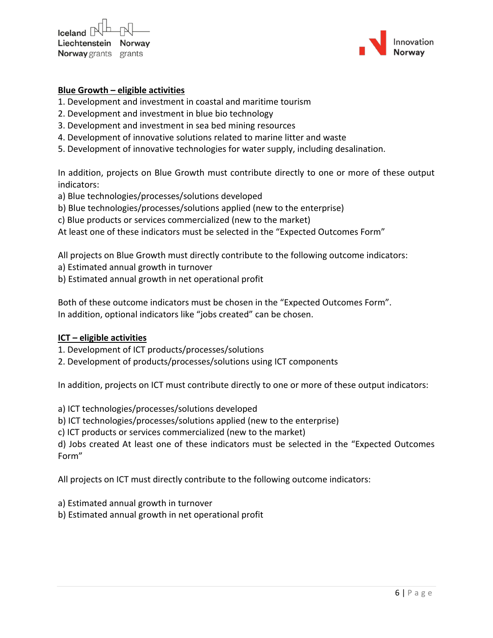$l$ celand Liechtenstein Norway **Norway** grants grants



#### **Blue Growth – eligible activities**

- 1. Development and investment in coastal and maritime tourism
- 2. Development and investment in blue bio technology
- 3. Development and investment in sea bed mining resources
- 4. Development of innovative solutions related to marine litter and waste
- 5. Development of innovative technologies for water supply, including desalination.

In addition, projects on Blue Growth must contribute directly to one or more of these output indicators:

- a) Blue technologies/processes/solutions developed
- b) Blue technologies/processes/solutions applied (new to the enterprise)
- c) Blue products or services commercialized (new to the market)

At least one of these indicators must be selected in the "Expected Outcomes Form"

All projects on Blue Growth must directly contribute to the following outcome indicators:

- a) Estimated annual growth in turnover
- b) Estimated annual growth in net operational profit

Both of these outcome indicators must be chosen in the "Expected Outcomes Form". In addition, optional indicators like "jobs created" can be chosen.

#### **ICT – eligible activities**

- 1. Development of ICT products/processes/solutions
- 2. Development of products/processes/solutions using ICT components

In addition, projects on ICT must contribute directly to one or more of these output indicators:

- a) ICT technologies/processes/solutions developed
- b) ICT technologies/processes/solutions applied (new to the enterprise)
- c) ICT products or services commercialized (new to the market)

d) Jobs created At least one of these indicators must be selected in the "Expected Outcomes Form"

All projects on ICT must directly contribute to the following outcome indicators:

- a) Estimated annual growth in turnover
- b) Estimated annual growth in net operational profit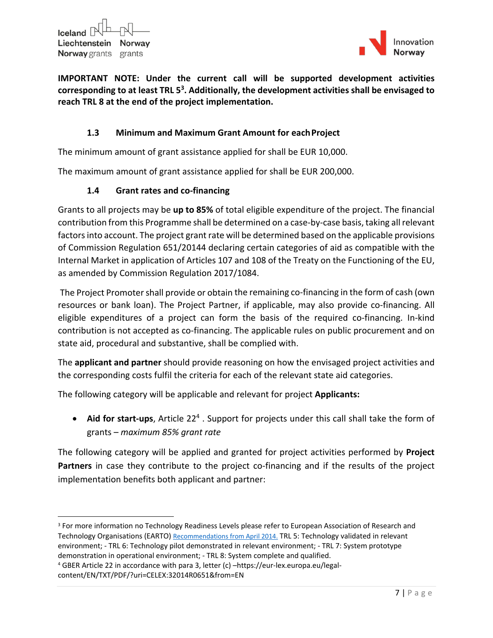$I$ celand Liechtenstein Norway **Norway** grants grants



**IMPORTANT NOTE: Under the current call will be supported development activities corresponding to at least TRL 53. Additionally, the development activities shall be envisaged to reach TRL 8 at the end of the project implementation.**

## **1.3 Minimum and Maximum Grant Amount for eachProject**

The minimum amount of grant assistance applied for shall be EUR 10,000.

The maximum amount of grant assistance applied for shall be EUR 200,000.

#### **1.4 Grant rates and co‐financing**

Grants to all projects may be **up to 85%** of total eligible expenditure of the project. The financial contribution from this Programme shall be determined on a case‐by‐case basis, taking all relevant factors into account. The project grant rate will be determined based on the applicable provisions of Commission Regulation 651/20144 declaring certain categories of aid as compatible with the Internal Market in application of Articles 107 and 108 of the Treaty on the Functioning of the EU, as amended by Commission Regulation 2017/1084.

The Project Promoter shall provide or obtain the remaining co-financing in the form of cash (own resources or bank loan). The Project Partner, if applicable, may also provide co-financing. All eligible expenditures of a project can form the basis of the required co-financing. In-kind contribution is not accepted as co-financing. The applicable rules on public procurement and on state aid, procedural and substantive, shall be complied with.

The **applicant and partner** should provide reasoning on how the envisaged project activities and the corresponding costs fulfil the criteria for each of the relevant state aid categories.

The following category will be applicable and relevant for project **Applicants:**

 **Aid for start‐ups**, Article 224 . Support for projects under this call shall take the form of grants – *maximum 85% grant rate*

The following category will be applied and granted for project activities performed by **Project Partners** in case they contribute to the project co-financing and if the results of the project implementation benefits both applicant and partner:

<sup>&</sup>lt;sup>3</sup> For more information no Technology Readiness Levels please refer to European Association of Research and Technology Organisations (EARTO) Recommendations from April 2014. TRL 5: Technology validated in relevant environment; - TRL 6: Technology pilot demonstrated in relevant environment; - TRL 7: System prototype demonstration in operational environment; ‐ TRL 8: System complete and qualified.

<sup>4</sup> GBER Article 22 in accordance with para 3, letter (c) –https://eur‐lex.europa.eu/legal‐ content/EN/TXT/PDF/?uri=CELEX:32014R0651&from=EN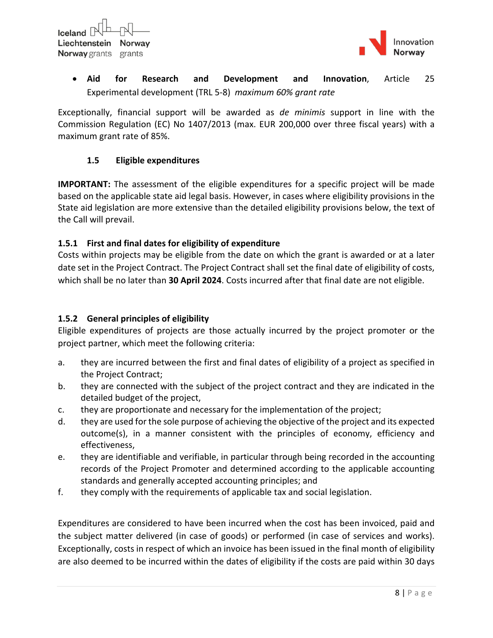

 **Aid for Research and Development and Innovation**, Article 25 Experimental development (TRL 5‐8) *maximum 60% grant rate*

Exceptionally, financial support will be awarded as *de minimis* support in line with the Commission Regulation (EC) No 1407/2013 (max. EUR 200,000 over three fiscal years) with a maximum grant rate of 85%.

#### **1.5 Eligible expenditures**

**IMPORTANT:** The assessment of the eligible expenditures for a specific project will be made based on the applicable state aid legal basis. However, in cases where eligibility provisions in the State aid legislation are more extensive than the detailed eligibility provisions below, the text of the Call will prevail.

#### **1.5.1 First and final dates for eligibility of expenditure**

Costs within projects may be eligible from the date on which the grant is awarded or at a later date set in the Project Contract. The Project Contract shall set the final date of eligibility of costs, which shall be no later than **30 April 2024**. Costs incurred after that final date are not eligible.

#### **1.5.2 General principles of eligibility**

Eligible expenditures of projects are those actually incurred by the project promoter or the project partner, which meet the following criteria:

- a. they are incurred between the first and final dates of eligibility of a project as specified in the Project Contract;
- b. they are connected with the subject of the project contract and they are indicated in the detailed budget of the project,
- c. they are proportionate and necessary for the implementation of the project;
- d. they are used for the sole purpose of achieving the objective of the project and its expected outcome(s), in a manner consistent with the principles of economy, efficiency and effectiveness,
- e. they are identifiable and verifiable, in particular through being recorded in the accounting records of the Project Promoter and determined according to the applicable accounting standards and generally accepted accounting principles; and
- f. they comply with the requirements of applicable tax and social legislation.

Expenditures are considered to have been incurred when the cost has been invoiced, paid and the subject matter delivered (in case of goods) or performed (in case of services and works). Exceptionally, costs in respect of which an invoice has been issued in the final month of eligibility are also deemed to be incurred within the dates of eligibility if the costs are paid within 30 days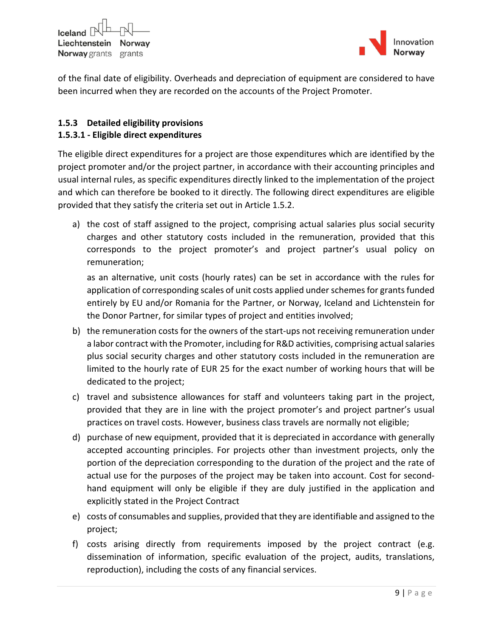



of the final date of eligibility. Overheads and depreciation of equipment are considered to have been incurred when they are recorded on the accounts of the Project Promoter.

## **1.5.3 Detailed eligibility provisions 1.5.3.1 ‐ Eligible direct expenditures**

The eligible direct expenditures for a project are those expenditures which are identified by the project promoter and/or the project partner, in accordance with their accounting principles and usual internal rules, as specific expenditures directly linked to the implementation of the project and which can therefore be booked to it directly. The following direct expenditures are eligible provided that they satisfy the criteria set out in Article 1.5.2.

a) the cost of staff assigned to the project, comprising actual salaries plus social security charges and other statutory costs included in the remuneration, provided that this corresponds to the project promoter's and project partner's usual policy on remuneration;

as an alternative, unit costs (hourly rates) can be set in accordance with the rules for application of corresponding scales of unit costs applied under schemes for grants funded entirely by EU and/or Romania for the Partner, or Norway, Iceland and Lichtenstein for the Donor Partner, for similar types of project and entities involved;

- b) the remuneration costs for the owners of the start‐ups not receiving remuneration under a labor contract with the Promoter, including for R&D activities, comprising actual salaries plus social security charges and other statutory costs included in the remuneration are limited to the hourly rate of EUR 25 for the exact number of working hours that will be dedicated to the project;
- c) travel and subsistence allowances for staff and volunteers taking part in the project, provided that they are in line with the project promoter's and project partner's usual practices on travel costs. However, business class travels are normally not eligible;
- d) purchase of new equipment, provided that it is depreciated in accordance with generally accepted accounting principles. For projects other than investment projects, only the portion of the depreciation corresponding to the duration of the project and the rate of actual use for the purposes of the project may be taken into account. Cost for second‐ hand equipment will only be eligible if they are duly justified in the application and explicitly stated in the Project Contract
- e) costs of consumables and supplies, provided that they are identifiable and assigned to the project;
- f) costs arising directly from requirements imposed by the project contract (e.g. dissemination of information, specific evaluation of the project, audits, translations, reproduction), including the costs of any financial services.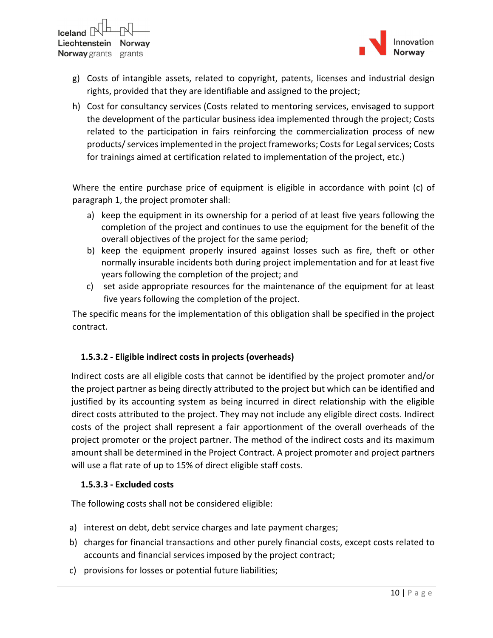



- g) Costs of intangible assets, related to copyright, patents, licenses and industrial design rights, provided that they are identifiable and assigned to the project;
- h) Cost for consultancy services (Costs related to mentoring services, envisaged to support the development of the particular business idea implemented through the project; Costs related to the participation in fairs reinforcing the commercialization process of new products/ services implemented in the project frameworks; Costs for Legal services; Costs for trainings aimed at certification related to implementation of the project, etc.)

Where the entire purchase price of equipment is eligible in accordance with point (c) of paragraph 1, the project promoter shall:

- a) keep the equipment in its ownership for a period of at least five years following the completion of the project and continues to use the equipment for the benefit of the overall objectives of the project for the same period;
- b) keep the equipment properly insured against losses such as fire, theft or other normally insurable incidents both during project implementation and for at least five years following the completion of the project; and
- c) set aside appropriate resources for the maintenance of the equipment for at least five years following the completion of the project.

The specific means for the implementation of this obligation shall be specified in the project contract.

## **1.5.3.2 ‐ Eligible indirect costs in projects (overheads)**

Indirect costs are all eligible costs that cannot be identified by the project promoter and/or the project partner as being directly attributed to the project but which can be identified and justified by its accounting system as being incurred in direct relationship with the eligible direct costs attributed to the project. They may not include any eligible direct costs. Indirect costs of the project shall represent a fair apportionment of the overall overheads of the project promoter or the project partner. The method of the indirect costs and its maximum amount shall be determined in the Project Contract. A project promoter and project partners will use a flat rate of up to 15% of direct eligible staff costs.

#### **1.5.3.3 ‐ Excluded costs**

The following costs shall not be considered eligible:

- a) interest on debt, debt service charges and late payment charges;
- b) charges for financial transactions and other purely financial costs, except costs related to accounts and financial services imposed by the project contract;
- c) provisions for losses or potential future liabilities;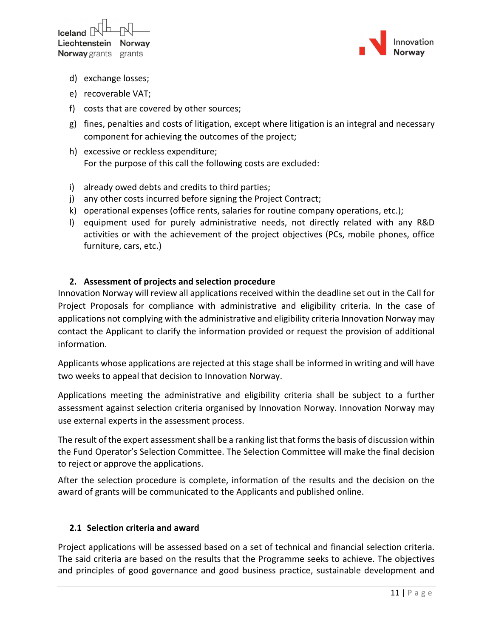



- d) exchange losses;
- e) recoverable VAT;
- f) costs that are covered by other sources;
- g) fines, penalties and costs of litigation, except where litigation is an integral and necessary component for achieving the outcomes of the project;
- h) excessive or reckless expenditure; For the purpose of this call the following costs are excluded:
- i) already owed debts and credits to third parties;
- j) any other costs incurred before signing the Project Contract;
- k) operational expenses (office rents, salaries for routine company operations, etc.);
- l) equipment used for purely administrative needs, not directly related with any R&D activities or with the achievement of the project objectives (PCs, mobile phones, office furniture, cars, etc.)

#### **2. Assessment of projects and selection procedure**

Innovation Norway will review all applications received within the deadline set out in the Call for Project Proposals for compliance with administrative and eligibility criteria. In the case of applications not complying with the administrative and eligibility criteria Innovation Norway may contact the Applicant to clarify the information provided or request the provision of additional information.

Applicants whose applications are rejected at this stage shall be informed in writing and will have two weeks to appeal that decision to Innovation Norway.

Applications meeting the administrative and eligibility criteria shall be subject to a further assessment against selection criteria organised by Innovation Norway. Innovation Norway may use external experts in the assessment process.

The result of the expert assessment shall be a ranking list that forms the basis of discussion within the Fund Operator's Selection Committee. The Selection Committee will make the final decision to reject or approve the applications.

After the selection procedure is complete, information of the results and the decision on the award of grants will be communicated to the Applicants and published online.

#### **2.1 Selection criteria and award**

Project applications will be assessed based on a set of technical and financial selection criteria. The said criteria are based on the results that the Programme seeks to achieve. The objectives and principles of good governance and good business practice, sustainable development and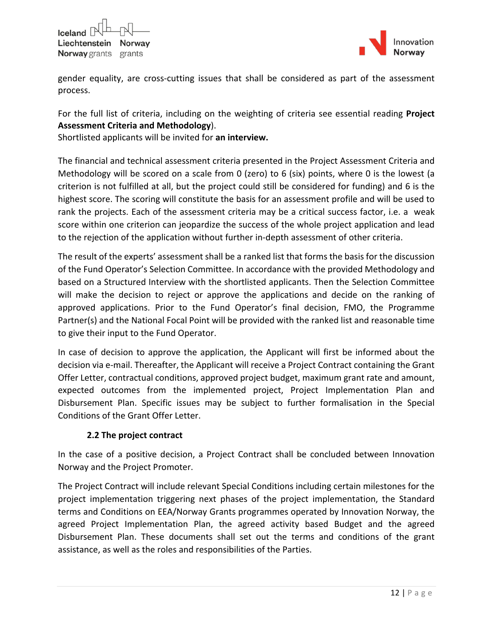



gender equality, are cross-cutting issues that shall be considered as part of the assessment process.

For the full list of criteria, including on the weighting of criteria see essential reading **Project Assessment Criteria and Methodology**).

Shortlisted applicants will be invited for **an interview.**

The financial and technical assessment criteria presented in the Project Assessment Criteria and Methodology will be scored on a scale from 0 (zero) to 6 (six) points, where 0 is the lowest (a criterion is not fulfilled at all, but the project could still be considered for funding) and 6 is the highest score. The scoring will constitute the basis for an assessment profile and will be used to rank the projects. Each of the assessment criteria may be a critical success factor, i.e. a weak score within one criterion can jeopardize the success of the whole project application and lead to the rejection of the application without further in‐depth assessment of other criteria.

The result of the experts' assessment shall be a ranked list that forms the basis for the discussion of the Fund Operator's Selection Committee. In accordance with the provided Methodology and based on a Structured Interview with the shortlisted applicants. Then the Selection Committee will make the decision to reject or approve the applications and decide on the ranking of approved applications. Prior to the Fund Operator's final decision, FMO, the Programme Partner(s) and the National Focal Point will be provided with the ranked list and reasonable time to give their input to the Fund Operator.

In case of decision to approve the application, the Applicant will first be informed about the decision via e‐mail. Thereafter, the Applicant will receive a Project Contract containing the Grant Offer Letter, contractual conditions, approved project budget, maximum grant rate and amount, expected outcomes from the implemented project, Project Implementation Plan and Disbursement Plan. Specific issues may be subject to further formalisation in the Special Conditions of the Grant Offer Letter.

#### **2.2 The project contract**

In the case of a positive decision, a Project Contract shall be concluded between Innovation Norway and the Project Promoter.

The Project Contract will include relevant Special Conditions including certain milestones for the project implementation triggering next phases of the project implementation, the Standard terms and Conditions on EEA/Norway Grants programmes operated by Innovation Norway, the agreed Project Implementation Plan, the agreed activity based Budget and the agreed Disbursement Plan. These documents shall set out the terms and conditions of the grant assistance, as well as the roles and responsibilities of the Parties.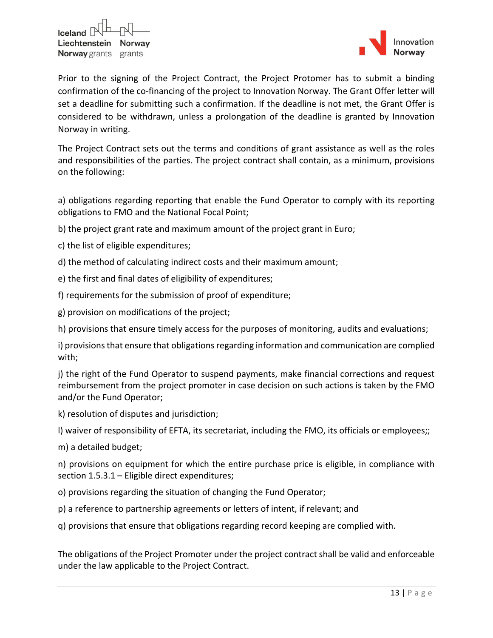



Prior to the signing of the Project Contract, the Project Protomer has to submit a binding confirmation of the co‐financing of the project to Innovation Norway. The Grant Offer letter will set a deadline for submitting such a confirmation. If the deadline is not met, the Grant Offer is considered to be withdrawn, unless a prolongation of the deadline is granted by Innovation Norway in writing.

The Project Contract sets out the terms and conditions of grant assistance as well as the roles and responsibilities of the parties. The project contract shall contain, as a minimum, provisions on the following:

a) obligations regarding reporting that enable the Fund Operator to comply with its reporting obligations to FMO and the National Focal Point;

- b) the project grant rate and maximum amount of the project grant in Euro;
- c) the list of eligible expenditures;
- d) the method of calculating indirect costs and their maximum amount;
- e) the first and final dates of eligibility of expenditures;
- f) requirements for the submission of proof of expenditure;
- g) provision on modifications of the project;
- h) provisions that ensure timely access for the purposes of monitoring, audits and evaluations;

i) provisions that ensure that obligations regarding information and communication are complied with;

j) the right of the Fund Operator to suspend payments, make financial corrections and request reimbursement from the project promoter in case decision on such actions is taken by the FMO and/or the Fund Operator;

k) resolution of disputes and jurisdiction;

l) waiver of responsibility of EFTA, its secretariat, including the FMO, its officials or employees;;

m) a detailed budget;

n) provisions on equipment for which the entire purchase price is eligible, in compliance with section 1.5.3.1 – Eligible direct expenditures;

- o) provisions regarding the situation of changing the Fund Operator;
- p) a reference to partnership agreements or letters of intent, if relevant; and
- q) provisions that ensure that obligations regarding record keeping are complied with.

The obligations of the Project Promoter under the project contract shall be valid and enforceable under the law applicable to the Project Contract.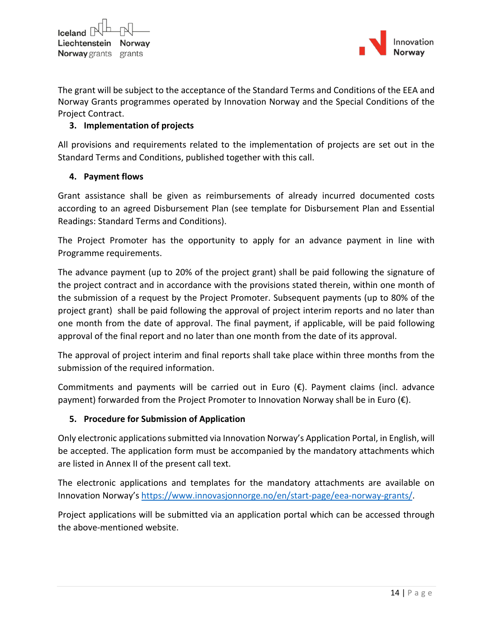

The grant will be subject to the acceptance of the Standard Terms and Conditions of the EEA and Norway Grants programmes operated by Innovation Norway and the Special Conditions of the Project Contract.

## **3. Implementation of projects**

All provisions and requirements related to the implementation of projects are set out in the Standard Terms and Conditions, published together with this call.

#### **4. Payment flows**

Grant assistance shall be given as reimbursements of already incurred documented costs according to an agreed Disbursement Plan (see template for Disbursement Plan and Essential Readings: Standard Terms and Conditions).

The Project Promoter has the opportunity to apply for an advance payment in line with Programme requirements.

The advance payment (up to 20% of the project grant) shall be paid following the signature of the project contract and in accordance with the provisions stated therein, within one month of the submission of a request by the Project Promoter. Subsequent payments (up to 80% of the project grant) shall be paid following the approval of project interim reports and no later than one month from the date of approval. The final payment, if applicable, will be paid following approval of the final report and no later than one month from the date of its approval.

The approval of project interim and final reports shall take place within three months from the submission of the required information.

Commitments and payments will be carried out in Euro  $(\epsilon)$ . Payment claims (incl. advance payment) forwarded from the Project Promoter to Innovation Norway shall be in Euro  $(\epsilon)$ .

#### **5. Procedure for Submission of Application**

Only electronic applications submitted via Innovation Norway's Application Portal, in English, will be accepted. The application form must be accompanied by the mandatory attachments which are listed in Annex II of the present call text.

The electronic applications and templates for the mandatory attachments are available on Innovation Norway's https://www.innovasjonnorge.no/en/start‐page/eea‐norway‐grants/.

Project applications will be submitted via an application portal which can be accessed through the above‐mentioned website.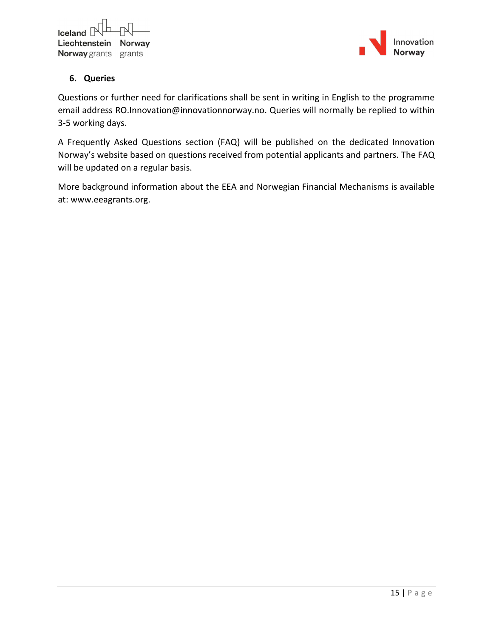



## **6. Queries**

Questions or further need for clarifications shall be sent in writing in English to the programme email address RO.Innovation@innovationnorway.no. Queries will normally be replied to within 3‐5 working days.

A Frequently Asked Questions section (FAQ) will be published on the dedicated Innovation Norway's website based on questions received from potential applicants and partners. The FAQ will be updated on a regular basis.

More background information about the EEA and Norwegian Financial Mechanisms is available at: www.eeagrants.org.